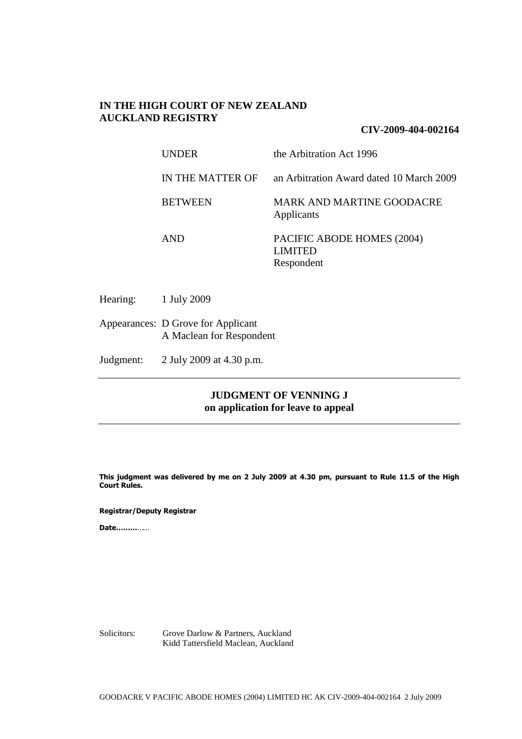## **IN THE HIGH COURT OF NEW ZEALAND AUCKLAND REGISTRY**

### **CIV-2009-404-002164**

| <b>UNDER</b>     | the Arbitration Act 1996                                   |
|------------------|------------------------------------------------------------|
| IN THE MATTER OF | an Arbitration Award dated 10 March 2009                   |
| <b>BETWEEN</b>   | MARK AND MARTINE GOODACRE<br>Applicants                    |
| <b>AND</b>       | PACIFIC ABODE HOMES (2004)<br><b>LIMITED</b><br>Respondent |

Hearing: 1 July 2009

Appearances: D Grove for Applicant A Maclean for Respondent

Judgment: 2 July 2009 at 4.30 p.m.

## **JUDGMENT OF VENNING J on application for leave to appeal**

**This judgment was delivered by me on 2 July 2009 at 4.30 pm, pursuant to Rule 11.5 of the High Court Rules.**

**Registrar/Deputy Registrar**

**Date………**……

Solicitors: Grove Darlow & Partners, Auckland Kidd Tattersfield Maclean, Auckland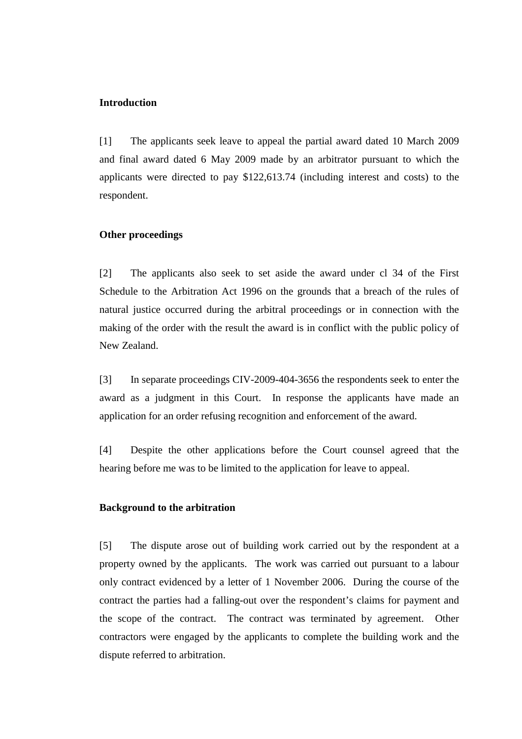### **Introduction**

[1] The applicants seek leave to appeal the partial award dated 10 March 2009 and final award dated 6 May 2009 made by an arbitrator pursuant to which the applicants were directed to pay \$122,613.74 (including interest and costs) to the respondent.

### **Other proceedings**

[2] The applicants also seek to set aside the award under cl 34 of the First Schedule to the Arbitration Act 1996 on the grounds that a breach of the rules of natural justice occurred during the arbitral proceedings or in connection with the making of the order with the result the award is in conflict with the public policy of New Zealand.

[3] In separate proceedings CIV-2009-404-3656 the respondents seek to enter the award as a judgment in this Court. In response the applicants have made an application for an order refusing recognition and enforcement of the award.

[4] Despite the other applications before the Court counsel agreed that the hearing before me was to be limited to the application for leave to appeal.

#### **Background to the arbitration**

[5] The dispute arose out of building work carried out by the respondent at a property owned by the applicants. The work was carried out pursuant to a labour only contract evidenced by a letter of 1 November 2006. During the course of the contract the parties had a falling-out over the respondent's claims for payment and the scope of the contract. The contract was terminated by agreement. Other contractors were engaged by the applicants to complete the building work and the dispute referred to arbitration.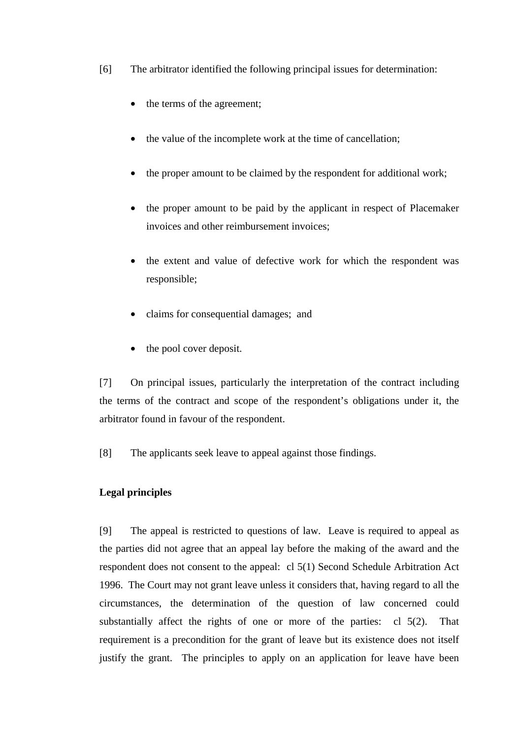- [6] The arbitrator identified the following principal issues for determination:
	- the terms of the agreement;
	- the value of the incomplete work at the time of cancellation;
	- the proper amount to be claimed by the respondent for additional work;
	- the proper amount to be paid by the applicant in respect of Placemaker invoices and other reimbursement invoices;
	- the extent and value of defective work for which the respondent was responsible;
	- claims for consequential damages; and
	- the pool cover deposit.

[7] On principal issues, particularly the interpretation of the contract including the terms of the contract and scope of the respondent's obligations under it, the arbitrator found in favour of the respondent.

[8] The applicants seek leave to appeal against those findings.

# **Legal principles**

[9] The appeal is restricted to questions of law. Leave is required to appeal as the parties did not agree that an appeal lay before the making of the award and the respondent does not consent to the appeal: cl 5(1) Second Schedule Arbitration Act 1996. The Court may not grant leave unless it considers that, having regard to all the circumstances, the determination of the question of law concerned could substantially affect the rights of one or more of the parties: cl 5(2). That requirement is a precondition for the grant of leave but its existence does not itself justify the grant. The principles to apply on an application for leave have been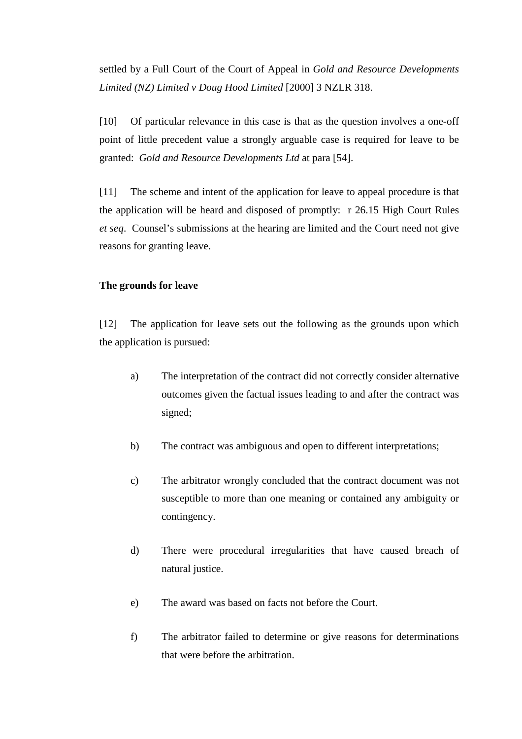settled by a Full Court of the Court of Appeal in *Gold and Resource Developments Limited (NZ) Limited v Doug Hood Limited* [2000] 3 NZLR 318.

[10] Of particular relevance in this case is that as the question involves a one-off point of little precedent value a strongly arguable case is required for leave to be granted: *Gold and Resource Developments Ltd* at para [54].

[11] The scheme and intent of the application for leave to appeal procedure is that the application will be heard and disposed of promptly: r 26.15 High Court Rules *et seq*. Counsel's submissions at the hearing are limited and the Court need not give reasons for granting leave.

#### **The grounds for leave**

[12] The application for leave sets out the following as the grounds upon which the application is pursued:

- a) The interpretation of the contract did not correctly consider alternative outcomes given the factual issues leading to and after the contract was signed;
- b) The contract was ambiguous and open to different interpretations;
- c) The arbitrator wrongly concluded that the contract document was not susceptible to more than one meaning or contained any ambiguity or contingency.
- d) There were procedural irregularities that have caused breach of natural justice.
- e) The award was based on facts not before the Court.
- f) The arbitrator failed to determine or give reasons for determinations that were before the arbitration.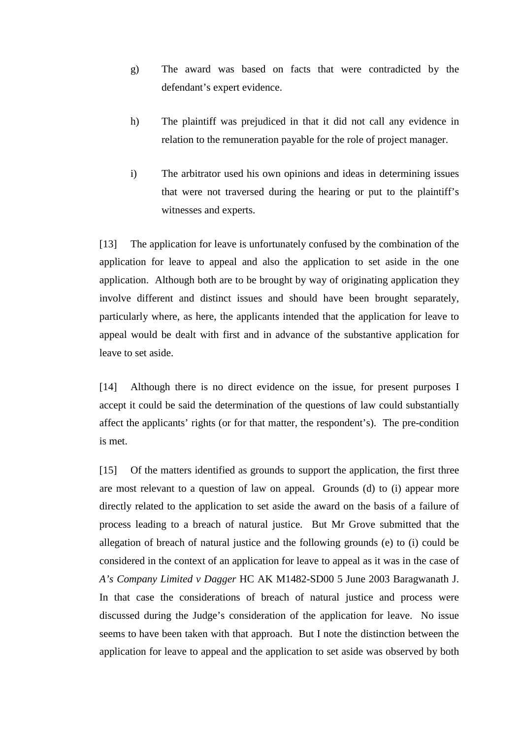- g) The award was based on facts that were contradicted by the defendant's expert evidence.
- h) The plaintiff was prejudiced in that it did not call any evidence in relation to the remuneration payable for the role of project manager.
- i) The arbitrator used his own opinions and ideas in determining issues that were not traversed during the hearing or put to the plaintiff's witnesses and experts.

[13] The application for leave is unfortunately confused by the combination of the application for leave to appeal and also the application to set aside in the one application. Although both are to be brought by way of originating application they involve different and distinct issues and should have been brought separately, particularly where, as here, the applicants intended that the application for leave to appeal would be dealt with first and in advance of the substantive application for leave to set aside.

[14] Although there is no direct evidence on the issue, for present purposes I accept it could be said the determination of the questions of law could substantially affect the applicants' rights (or for that matter, the respondent's). The pre-condition is met.

[15] Of the matters identified as grounds to support the application, the first three are most relevant to a question of law on appeal. Grounds (d) to (i) appear more directly related to the application to set aside the award on the basis of a failure of process leading to a breach of natural justice. But Mr Grove submitted that the allegation of breach of natural justice and the following grounds (e) to (i) could be considered in the context of an application for leave to appeal as it was in the case of *A's Company Limited v Dagger* HC AK M1482-SD00 5 June 2003 Baragwanath J. In that case the considerations of breach of natural justice and process were discussed during the Judge's consideration of the application for leave. No issue seems to have been taken with that approach. But I note the distinction between the application for leave to appeal and the application to set aside was observed by both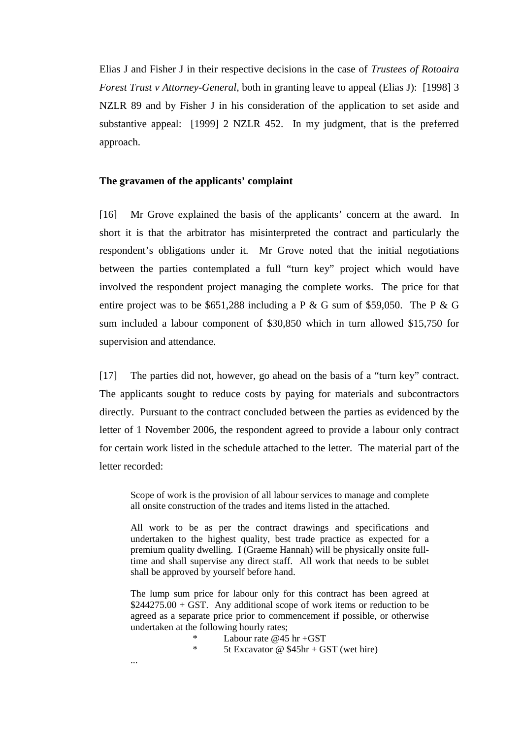Elias J and Fisher J in their respective decisions in the case of *Trustees of Rotoaira Forest Trust v Attorney-General*, both in granting leave to appeal (Elias J): [1998] 3 NZLR 89 and by Fisher J in his consideration of the application to set aside and substantive appeal: [1999] 2 NZLR 452. In my judgment, that is the preferred approach.

#### **The gravamen of the applicants' complaint**

[16] Mr Grove explained the basis of the applicants' concern at the award. In short it is that the arbitrator has misinterpreted the contract and particularly the respondent's obligations under it. Mr Grove noted that the initial negotiations between the parties contemplated a full "turn key" project which would have involved the respondent project managing the complete works. The price for that entire project was to be \$651,288 including a P & G sum of \$59,050. The P & G sum included a labour component of \$30,850 which in turn allowed \$15,750 for supervision and attendance.

[17] The parties did not, however, go ahead on the basis of a "turn key" contract. The applicants sought to reduce costs by paying for materials and subcontractors directly. Pursuant to the contract concluded between the parties as evidenced by the letter of 1 November 2006, the respondent agreed to provide a labour only contract for certain work listed in the schedule attached to the letter. The material part of the letter recorded:

Scope of work is the provision of all labour services to manage and complete all onsite construction of the trades and items listed in the attached.

All work to be as per the contract drawings and specifications and undertaken to the highest quality, best trade practice as expected for a premium quality dwelling. I (Graeme Hannah) will be physically onsite fulltime and shall supervise any direct staff. All work that needs to be sublet shall be approved by yourself before hand.

The lump sum price for labour only for this contract has been agreed at  $$244275.00 + GST$ . Any additional scope of work items or reduction to be agreed as a separate price prior to commencement if possible, or otherwise undertaken at the following hourly rates;

\* Labour rate @45 hr +GST

5t Excavator @  $$45hr + GST$  (wet hire)

...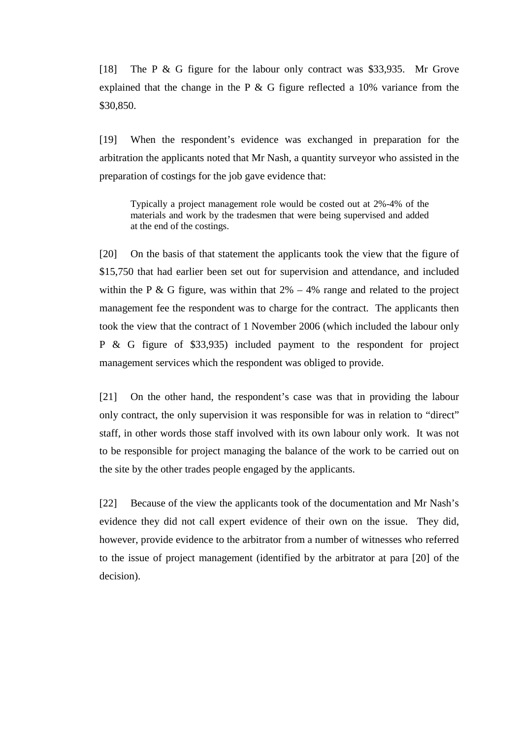[18] The P & G figure for the labour only contract was \$33,935. Mr Grove explained that the change in the P & G figure reflected a 10% variance from the \$30,850.

[19] When the respondent's evidence was exchanged in preparation for the arbitration the applicants noted that Mr Nash, a quantity surveyor who assisted in the preparation of costings for the job gave evidence that:

Typically a project management role would be costed out at 2%-4% of the materials and work by the tradesmen that were being supervised and added at the end of the costings.

[20] On the basis of that statement the applicants took the view that the figure of \$15,750 that had earlier been set out for supervision and attendance, and included within the P & G figure, was within that  $2\% - 4\%$  range and related to the project management fee the respondent was to charge for the contract. The applicants then took the view that the contract of 1 November 2006 (which included the labour only P & G figure of \$33,935) included payment to the respondent for project management services which the respondent was obliged to provide.

[21] On the other hand, the respondent's case was that in providing the labour only contract, the only supervision it was responsible for was in relation to "direct" staff, in other words those staff involved with its own labour only work. It was not to be responsible for project managing the balance of the work to be carried out on the site by the other trades people engaged by the applicants.

[22] Because of the view the applicants took of the documentation and Mr Nash's evidence they did not call expert evidence of their own on the issue. They did, however, provide evidence to the arbitrator from a number of witnesses who referred to the issue of project management (identified by the arbitrator at para [20] of the decision).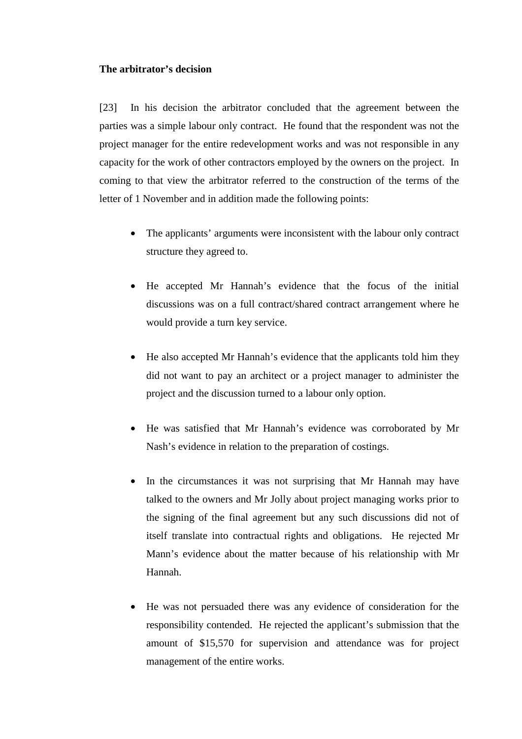#### **The arbitrator's decision**

[23] In his decision the arbitrator concluded that the agreement between the parties was a simple labour only contract. He found that the respondent was not the project manager for the entire redevelopment works and was not responsible in any capacity for the work of other contractors employed by the owners on the project. In coming to that view the arbitrator referred to the construction of the terms of the letter of 1 November and in addition made the following points:

- The applicants' arguments were inconsistent with the labour only contract structure they agreed to.
- He accepted Mr Hannah's evidence that the focus of the initial discussions was on a full contract/shared contract arrangement where he would provide a turn key service.
- He also accepted Mr Hannah's evidence that the applicants told him they did not want to pay an architect or a project manager to administer the project and the discussion turned to a labour only option.
- He was satisfied that Mr Hannah's evidence was corroborated by Mr Nash's evidence in relation to the preparation of costings.
- In the circumstances it was not surprising that Mr Hannah may have talked to the owners and Mr Jolly about project managing works prior to the signing of the final agreement but any such discussions did not of itself translate into contractual rights and obligations. He rejected Mr Mann's evidence about the matter because of his relationship with Mr Hannah.
- He was not persuaded there was any evidence of consideration for the responsibility contended. He rejected the applicant's submission that the amount of \$15,570 for supervision and attendance was for project management of the entire works.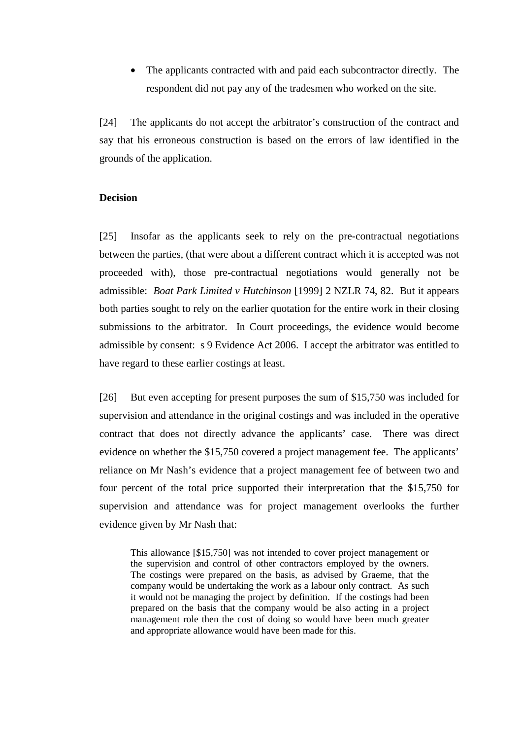• The applicants contracted with and paid each subcontractor directly. The respondent did not pay any of the tradesmen who worked on the site.

[24] The applicants do not accept the arbitrator's construction of the contract and say that his erroneous construction is based on the errors of law identified in the grounds of the application.

### **Decision**

[25] Insofar as the applicants seek to rely on the pre-contractual negotiations between the parties, (that were about a different contract which it is accepted was not proceeded with), those pre-contractual negotiations would generally not be admissible: *Boat Park Limited v Hutchinson* [1999] 2 NZLR 74, 82. But it appears both parties sought to rely on the earlier quotation for the entire work in their closing submissions to the arbitrator. In Court proceedings, the evidence would become admissible by consent: s 9 Evidence Act 2006. I accept the arbitrator was entitled to have regard to these earlier costings at least.

[26] But even accepting for present purposes the sum of \$15,750 was included for supervision and attendance in the original costings and was included in the operative contract that does not directly advance the applicants' case. There was direct evidence on whether the \$15,750 covered a project management fee. The applicants' reliance on Mr Nash's evidence that a project management fee of between two and four percent of the total price supported their interpretation that the \$15,750 for supervision and attendance was for project management overlooks the further evidence given by Mr Nash that:

This allowance [\$15,750] was not intended to cover project management or the supervision and control of other contractors employed by the owners. The costings were prepared on the basis, as advised by Graeme, that the company would be undertaking the work as a labour only contract. As such it would not be managing the project by definition. If the costings had been prepared on the basis that the company would be also acting in a project management role then the cost of doing so would have been much greater and appropriate allowance would have been made for this.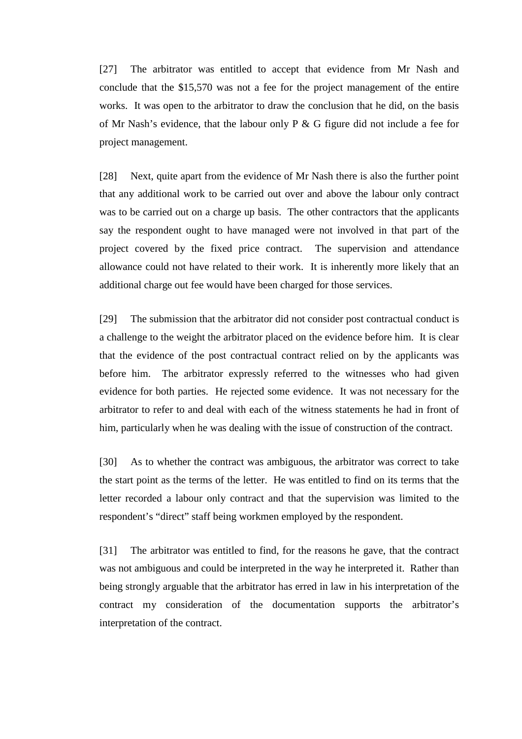[27] The arbitrator was entitled to accept that evidence from Mr Nash and conclude that the \$15,570 was not a fee for the project management of the entire works. It was open to the arbitrator to draw the conclusion that he did, on the basis of Mr Nash's evidence, that the labour only P & G figure did not include a fee for project management.

[28] Next, quite apart from the evidence of Mr Nash there is also the further point that any additional work to be carried out over and above the labour only contract was to be carried out on a charge up basis. The other contractors that the applicants say the respondent ought to have managed were not involved in that part of the project covered by the fixed price contract. The supervision and attendance allowance could not have related to their work. It is inherently more likely that an additional charge out fee would have been charged for those services.

[29] The submission that the arbitrator did not consider post contractual conduct is a challenge to the weight the arbitrator placed on the evidence before him. It is clear that the evidence of the post contractual contract relied on by the applicants was before him. The arbitrator expressly referred to the witnesses who had given evidence for both parties. He rejected some evidence. It was not necessary for the arbitrator to refer to and deal with each of the witness statements he had in front of him, particularly when he was dealing with the issue of construction of the contract.

[30] As to whether the contract was ambiguous, the arbitrator was correct to take the start point as the terms of the letter. He was entitled to find on its terms that the letter recorded a labour only contract and that the supervision was limited to the respondent's "direct" staff being workmen employed by the respondent.

[31] The arbitrator was entitled to find, for the reasons he gave, that the contract was not ambiguous and could be interpreted in the way he interpreted it. Rather than being strongly arguable that the arbitrator has erred in law in his interpretation of the contract my consideration of the documentation supports the arbitrator's interpretation of the contract.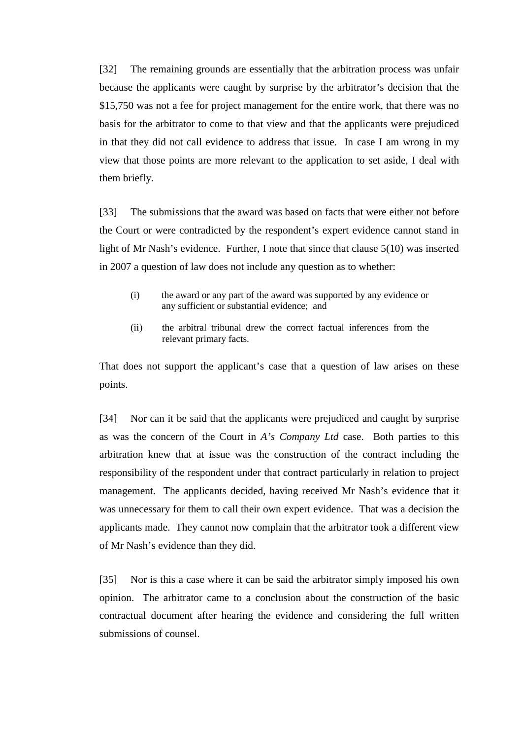[32] The remaining grounds are essentially that the arbitration process was unfair because the applicants were caught by surprise by the arbitrator's decision that the \$15,750 was not a fee for project management for the entire work, that there was no basis for the arbitrator to come to that view and that the applicants were prejudiced in that they did not call evidence to address that issue. In case I am wrong in my view that those points are more relevant to the application to set aside, I deal with them briefly.

[33] The submissions that the award was based on facts that were either not before the Court or were contradicted by the respondent's expert evidence cannot stand in light of Mr Nash's evidence. Further, I note that since that clause 5(10) was inserted in 2007 a question of law does not include any question as to whether:

- (i) the award or any part of the award was supported by any evidence or any sufficient or substantial evidence; and
- (ii) the arbitral tribunal drew the correct factual inferences from the relevant primary facts.

That does not support the applicant's case that a question of law arises on these points.

[34] Nor can it be said that the applicants were prejudiced and caught by surprise as was the concern of the Court in *A's Company Ltd* case. Both parties to this arbitration knew that at issue was the construction of the contract including the responsibility of the respondent under that contract particularly in relation to project management. The applicants decided, having received Mr Nash's evidence that it was unnecessary for them to call their own expert evidence. That was a decision the applicants made. They cannot now complain that the arbitrator took a different view of Mr Nash's evidence than they did.

[35] Nor is this a case where it can be said the arbitrator simply imposed his own opinion. The arbitrator came to a conclusion about the construction of the basic contractual document after hearing the evidence and considering the full written submissions of counsel.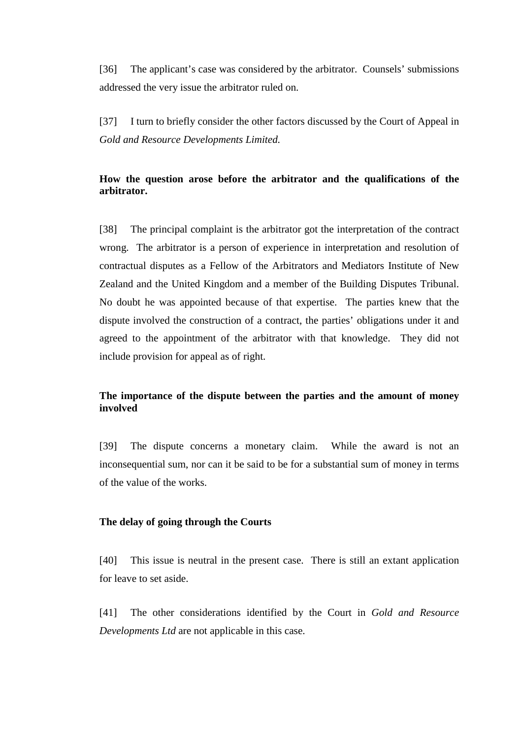[36] The applicant's case was considered by the arbitrator. Counsels' submissions addressed the very issue the arbitrator ruled on.

[37] I turn to briefly consider the other factors discussed by the Court of Appeal in *Gold and Resource Developments Limited.*

# **How the question arose before the arbitrator and the qualifications of the arbitrator.**

[38] The principal complaint is the arbitrator got the interpretation of the contract wrong. The arbitrator is a person of experience in interpretation and resolution of contractual disputes as a Fellow of the Arbitrators and Mediators Institute of New Zealand and the United Kingdom and a member of the Building Disputes Tribunal. No doubt he was appointed because of that expertise. The parties knew that the dispute involved the construction of a contract, the parties' obligations under it and agreed to the appointment of the arbitrator with that knowledge. They did not include provision for appeal as of right.

## **The importance of the dispute between the parties and the amount of money involved**

[39] The dispute concerns a monetary claim. While the award is not an inconsequential sum, nor can it be said to be for a substantial sum of money in terms of the value of the works.

### **The delay of going through the Courts**

[40] This issue is neutral in the present case. There is still an extant application for leave to set aside.

[41] The other considerations identified by the Court in *Gold and Resource Developments Ltd* are not applicable in this case.